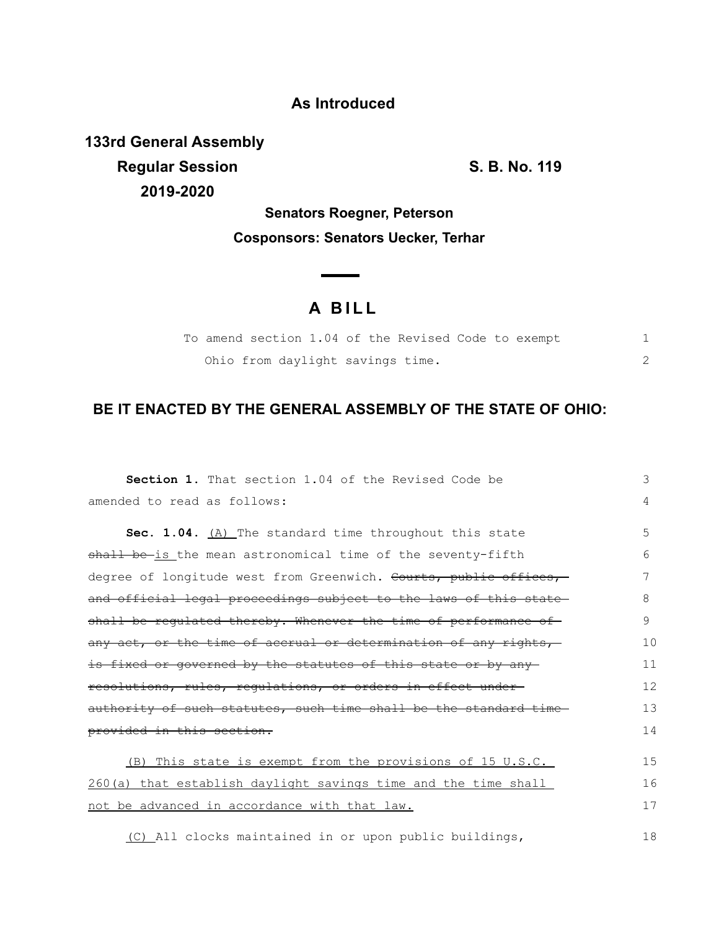## **As Introduced**

**133rd General Assembly Regular Session S. B. No. 119 2019-2020**

18

**Senators Roegner, Peterson Cosponsors: Senators Uecker, Terhar**

 $\overline{\phantom{0}}$ 

## **A BILL**

|  |  |  |  | To amend section 1.04 of the Revised Code to exempt |  |  |  |
|--|--|--|--|-----------------------------------------------------|--|--|--|
|  |  |  |  | Ohio from daylight savings time.                    |  |  |  |

## **BE IT ENACTED BY THE GENERAL ASSEMBLY OF THE STATE OF OHIO:**

| <b>Section 1.</b> That section 1.04 of the Revised Code be       | 3  |  |  |  |  |  |  |  |  |
|------------------------------------------------------------------|----|--|--|--|--|--|--|--|--|
| amended to read as follows:                                      | 4  |  |  |  |  |  |  |  |  |
| Sec. 1.04. (A) The standard time throughout this state           | 5  |  |  |  |  |  |  |  |  |
| shall be is the mean astronomical time of the seventy-fifth      | 6  |  |  |  |  |  |  |  |  |
| degree of longitude west from Greenwich. Courts, public offices, | 7  |  |  |  |  |  |  |  |  |
| and official legal proceedings subject to the laws of this state | 8  |  |  |  |  |  |  |  |  |
| shall be requlated thereby. Whenever the time of performance of  |    |  |  |  |  |  |  |  |  |
| any act, or the time of accrual or determination of any rights,  | 10 |  |  |  |  |  |  |  |  |
| is fixed or governed by the statutes of this state or by any     | 11 |  |  |  |  |  |  |  |  |
| resolutions, rules, regulations, or orders in effect under-      |    |  |  |  |  |  |  |  |  |
| authority of such statutes, such time shall be the standard time | 13 |  |  |  |  |  |  |  |  |
| provided in this section.                                        |    |  |  |  |  |  |  |  |  |
| (B) This state is exempt from the provisions of 15 U.S.C.        | 15 |  |  |  |  |  |  |  |  |
| 260(a) that establish daylight savings time and the time shall   | 16 |  |  |  |  |  |  |  |  |
| not be advanced in accordance with that law.                     | 17 |  |  |  |  |  |  |  |  |

(C) All clocks maintained in or upon public buildings,